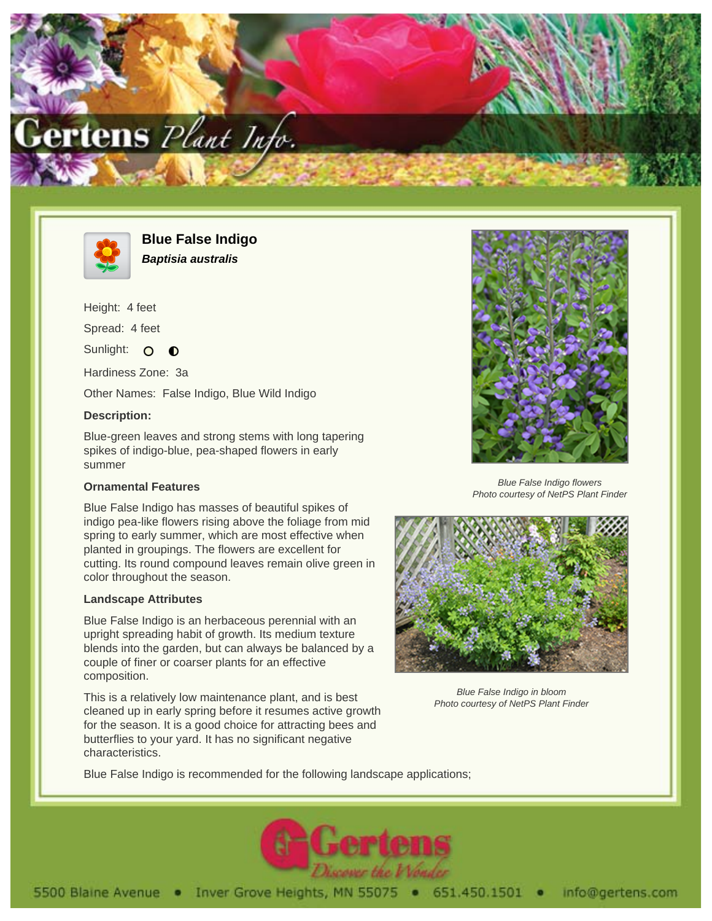



**Blue False Indigo Baptisia australis**

Height: 4 feet Spread: 4 feet Sunlight: O  $\bullet$ 

Hardiness Zone: 3a

Other Names: False Indigo, Blue Wild Indigo

## **Description:**

Blue-green leaves and strong stems with long tapering spikes of indigo-blue, pea-shaped flowers in early summer

## **Ornamental Features**

Blue False Indigo has masses of beautiful spikes of indigo pea-like flowers rising above the foliage from mid spring to early summer, which are most effective when planted in groupings. The flowers are excellent for cutting. Its round compound leaves remain olive green in color throughout the season.

## **Landscape Attributes**

Blue False Indigo is an herbaceous perennial with an upright spreading habit of growth. Its medium texture blends into the garden, but can always be balanced by a couple of finer or coarser plants for an effective composition.

This is a relatively low maintenance plant, and is best cleaned up in early spring before it resumes active growth for the season. It is a good choice for attracting bees and butterflies to your yard. It has no significant negative characteristics.



Blue False Indigo flowers Photo courtesy of NetPS Plant Finder



Blue False Indigo in bloom Photo courtesy of NetPS Plant Finder

Blue False Indigo is recommended for the following landscape applications;